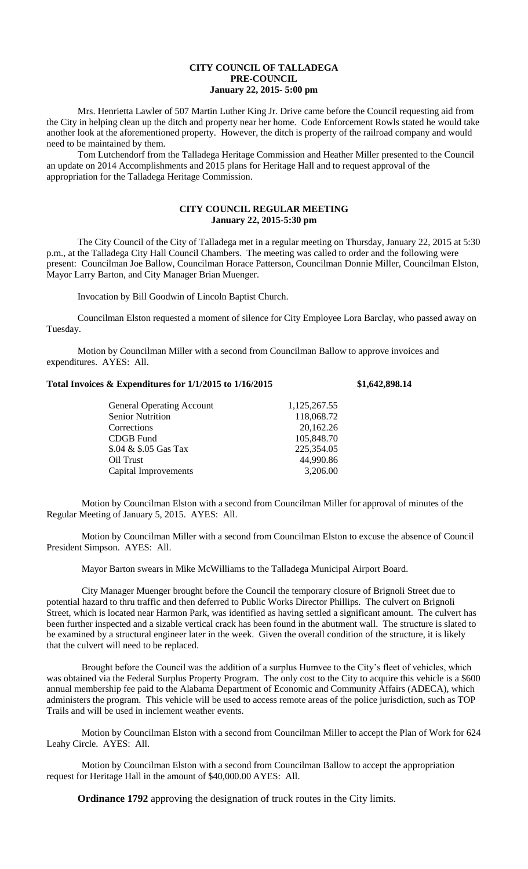## **CITY COUNCIL OF TALLADEGA PRE-COUNCIL January 22, 2015- 5:00 pm**

Mrs. Henrietta Lawler of 507 Martin Luther King Jr. Drive came before the Council requesting aid from the City in helping clean up the ditch and property near her home. Code Enforcement Rowls stated he would take another look at the aforementioned property. However, the ditch is property of the railroad company and would need to be maintained by them.

Tom Lutchendorf from the Talladega Heritage Commission and Heather Miller presented to the Council an update on 2014 Accomplishments and 2015 plans for Heritage Hall and to request approval of the appropriation for the Talladega Heritage Commission.

## **CITY COUNCIL REGULAR MEETING January 22, 2015-5:30 pm**

The City Council of the City of Talladega met in a regular meeting on Thursday, January 22, 2015 at 5:30 p.m., at the Talladega City Hall Council Chambers. The meeting was called to order and the following were present: Councilman Joe Ballow, Councilman Horace Patterson, Councilman Donnie Miller, Councilman Elston, Mayor Larry Barton, and City Manager Brian Muenger.

Invocation by Bill Goodwin of Lincoln Baptist Church.

Councilman Elston requested a moment of silence for City Employee Lora Barclay, who passed away on Tuesday.

Motion by Councilman Miller with a second from Councilman Ballow to approve invoices and expenditures. AYES: All.

| Total Invoices & Expenditures for 1/1/2015 to 1/16/2015 | \$1,642,898.14 |
|---------------------------------------------------------|----------------|
|                                                         |                |

| <b>General Operating Account</b> | 1,125,267.55 |
|----------------------------------|--------------|
| <b>Senior Nutrition</b>          | 118,068.72   |
| Corrections                      | 20,162.26    |
| CDGB Fund                        | 105,848.70   |
| \$.04 & \$.05 Gas Tax            | 225,354.05   |
| Oil Trust                        | 44,990.86    |
| Capital Improvements             | 3,206.00     |
|                                  |              |

Motion by Councilman Elston with a second from Councilman Miller for approval of minutes of the Regular Meeting of January 5, 2015. AYES: All.

Motion by Councilman Miller with a second from Councilman Elston to excuse the absence of Council President Simpson. AYES: All.

Mayor Barton swears in Mike McWilliams to the Talladega Municipal Airport Board.

City Manager Muenger brought before the Council the temporary closure of Brignoli Street due to potential hazard to thru traffic and then deferred to Public Works Director Phillips. The culvert on Brignoli Street, which is located near Harmon Park, was identified as having settled a significant amount. The culvert has been further inspected and a sizable vertical crack has been found in the abutment wall. The structure is slated to be examined by a structural engineer later in the week. Given the overall condition of the structure, it is likely that the culvert will need to be replaced.

Brought before the Council was the addition of a surplus Humvee to the City's fleet of vehicles, which was obtained via the Federal Surplus Property Program. The only cost to the City to acquire this vehicle is a \$600 annual membership fee paid to the Alabama Department of Economic and Community Affairs (ADECA), which administers the program. This vehicle will be used to access remote areas of the police jurisdiction, such as TOP Trails and will be used in inclement weather events.

Motion by Councilman Elston with a second from Councilman Miller to accept the Plan of Work for 624 Leahy Circle. AYES: All.

Motion by Councilman Elston with a second from Councilman Ballow to accept the appropriation request for Heritage Hall in the amount of \$40,000.00 AYES: All.

**Ordinance 1792** approving the designation of truck routes in the City limits.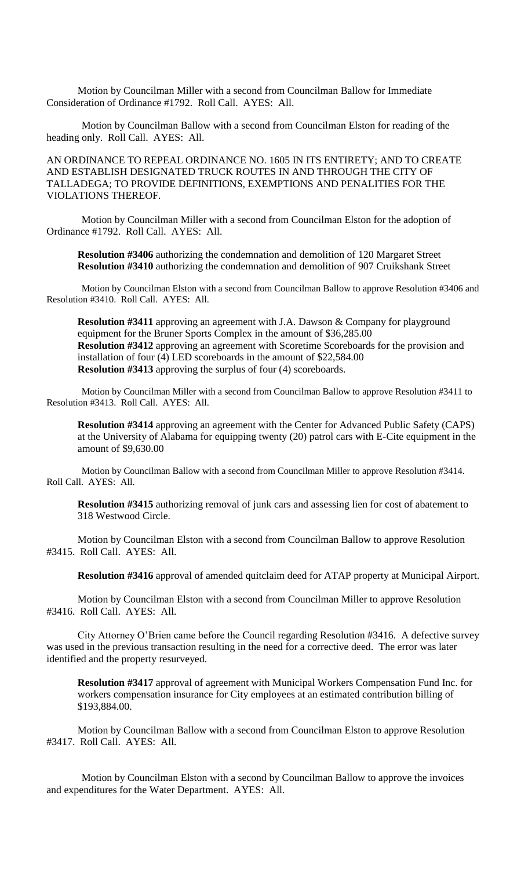Motion by Councilman Miller with a second from Councilman Ballow for Immediate Consideration of Ordinance #1792. Roll Call. AYES: All.

Motion by Councilman Ballow with a second from Councilman Elston for reading of the heading only. Roll Call. AYES: All.

AN ORDINANCE TO REPEAL ORDINANCE NO. 1605 IN ITS ENTIRETY; AND TO CREATE AND ESTABLISH DESIGNATED TRUCK ROUTES IN AND THROUGH THE CITY OF TALLADEGA; TO PROVIDE DEFINITIONS, EXEMPTIONS AND PENALITIES FOR THE VIOLATIONS THEREOF.

Motion by Councilman Miller with a second from Councilman Elston for the adoption of Ordinance #1792. Roll Call. AYES: All.

**Resolution #3406** authorizing the condemnation and demolition of 120 Margaret Street **Resolution #3410** authorizing the condemnation and demolition of 907 Cruikshank Street

Motion by Councilman Elston with a second from Councilman Ballow to approve Resolution #3406 and Resolution #3410. Roll Call. AYES: All.

**Resolution #3411** approving an agreement with J.A. Dawson & Company for playground equipment for the Bruner Sports Complex in the amount of \$36,285.00 **Resolution #3412** approving an agreement with Scoretime Scoreboards for the provision and installation of four (4) LED scoreboards in the amount of \$22,584.00 **Resolution #3413** approving the surplus of four (4) scoreboards.

Motion by Councilman Miller with a second from Councilman Ballow to approve Resolution #3411 to Resolution #3413. Roll Call. AYES: All.

**Resolution #3414** approving an agreement with the Center for Advanced Public Safety (CAPS) at the University of Alabama for equipping twenty (20) patrol cars with E-Cite equipment in the amount of \$9,630.00

Motion by Councilman Ballow with a second from Councilman Miller to approve Resolution #3414. Roll Call. AYES: All.

**Resolution #3415** authorizing removal of junk cars and assessing lien for cost of abatement to 318 Westwood Circle.

Motion by Councilman Elston with a second from Councilman Ballow to approve Resolution #3415. Roll Call. AYES: All.

**Resolution #3416** approval of amended quitclaim deed for ATAP property at Municipal Airport.

Motion by Councilman Elston with a second from Councilman Miller to approve Resolution #3416. Roll Call. AYES: All.

City Attorney O'Brien came before the Council regarding Resolution #3416. A defective survey was used in the previous transaction resulting in the need for a corrective deed. The error was later identified and the property resurveyed.

**Resolution #3417** approval of agreement with Municipal Workers Compensation Fund Inc. for workers compensation insurance for City employees at an estimated contribution billing of \$193,884.00.

Motion by Councilman Ballow with a second from Councilman Elston to approve Resolution #3417. Roll Call. AYES: All.

Motion by Councilman Elston with a second by Councilman Ballow to approve the invoices and expenditures for the Water Department. AYES: All.